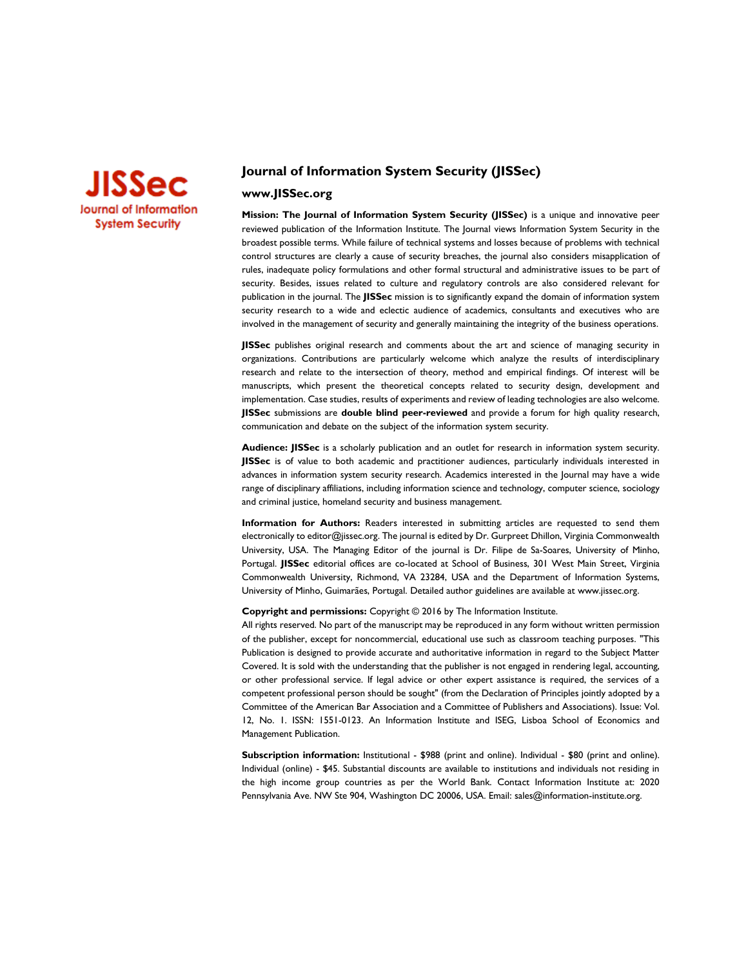

# **Journal of Information System Security (JISSec)**

# **www.JISSec.org**

**Mission: The Journal of Information System Security (JISSec)** is a unique and innovative peer reviewed publication of the Information Institute. The Journal views Information System Security in the broadest possible terms. While failure of technical systems and losses because of problems with technical control structures are clearly a cause of security breaches, the journal also considers misapplication of rules, inadequate policy formulations and other formal structural and administrative issues to be part of security. Besides, issues related to culture and regulatory controls are also considered relevant for publication in the journal. The **JISSec** mission is to significantly expand the domain of information system security research to a wide and eclectic audience of academics, consultants and executives who are involved in the management of security and generally maintaining the integrity of the business operations.

**JISSec** publishes original research and comments about the art and science of managing security in organizations. Contributions are particularly welcome which analyze the results of interdisciplinary research and relate to the intersection of theory, method and empirical findings. Of interest will be manuscripts, which present the theoretical concepts related to security design, development and implementation. Case studies, results of experiments and review of leading technologies are also welcome. **JISSec** submissions are **double blind peer-reviewed** and provide a forum for high quality research, communication and debate on the subject of the information system security.

**Audience: JISSec** is a scholarly publication and an outlet for research in information system security. **JISSec** is of value to both academic and practitioner audiences, particularly individuals interested in advances in information system security research. Academics interested in the Journal may have a wide range of disciplinary affiliations, including information science and technology, computer science, sociology and criminal justice, homeland security and business management.

**Information for Authors:** Readers interested in submitting articles are requested to send them electronically to editor@jissec.org. The journal is edited by Dr. Gurpreet Dhillon, Virginia Commonwealth University, USA. The Managing Editor of the journal is Dr. Filipe de Sa-Soares, University of Minho, Portugal. **JISSec** editorial offices are co-located at School of Business, 301 West Main Street, Virginia Commonwealth University, Richmond, VA 23284, USA and the Department of Information Systems, University of Minho, Guimarães, Portugal. Detailed author guidelines are available at www.jissec.org.

#### **Copyright and permissions:** Copyright © 2016 by The Information Institute.

All rights reserved. No part of the manuscript may be reproduced in any form without written permission of the publisher, except for noncommercial, educational use such as classroom teaching purposes. "This Publication is designed to provide accurate and authoritative information in regard to the Subject Matter Covered. It is sold with the understanding that the publisher is not engaged in rendering legal, accounting, or other professional service. If legal advice or other expert assistance is required, the services of a competent professional person should be sought" (from the Declaration of Principles jointly adopted by a Committee of the American Bar Association and a Committee of Publishers and Associations). Issue: Vol. 12, No. 1. ISSN: 1551-0123. An Information Institute and ISEG, Lisboa School of Economics and Management Publication.

**Subscription information:** Institutional - \$988 (print and online). Individual - \$80 (print and online). Individual (online) - \$45. Substantial discounts are available to institutions and individuals not residing in the high income group countries as per the World Bank. Contact Information Institute at: 2020 Pennsylvania Ave. NW Ste 904, Washington DC 20006, USA. Email[: sales@information-institute.org.](mailto:sales@information-institute.org)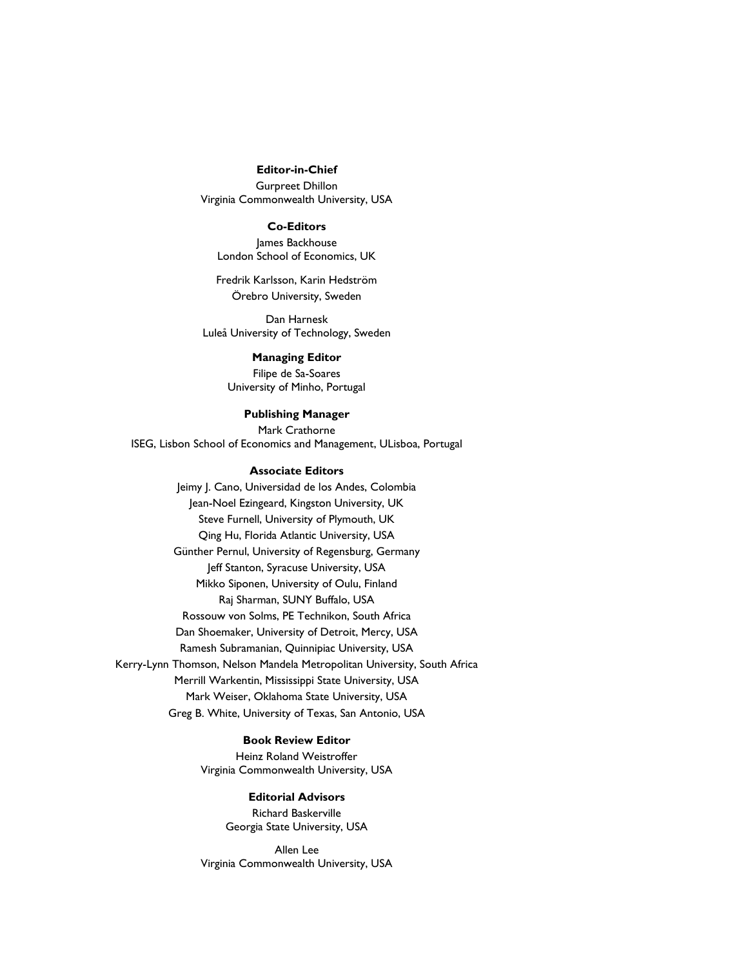### **Editor-in-Chief**

Gurpreet Dhillon Virginia Commonwealth University, USA

#### **Co-Editors**

James Backhouse London School of Economics, UK

Fredrik Karlsson, Karin Hedström Örebro University, Sweden

Dan Harnesk Luleå University of Technology, Sweden

#### **Managing Editor**

Filipe de Sa-Soares University of Minho, Portugal

**Publishing Manager**

Mark Crathorne ISEG, Lisbon School of Economics and Management, ULisboa, Portugal

# **Associate Editors**

Jeimy J. Cano, Universidad de los Andes, Colombia Jean-Noel Ezingeard, Kingston University, UK Steve Furnell, University of Plymouth, UK Qing Hu, Florida Atlantic University, USA Günther Pernul, University of Regensburg, Germany Jeff Stanton, Syracuse University, USA Mikko Siponen, University of Oulu, Finland Raj Sharman, SUNY Buffalo, USA Rossouw von Solms, PE Technikon, South Africa Dan Shoemaker, University of Detroit, Mercy, USA Ramesh Subramanian, Quinnipiac University, USA Kerry-Lynn Thomson, Nelson Mandela Metropolitan University, South Africa Merrill Warkentin, Mississippi State University, USA Mark Weiser, Oklahoma State University, USA Greg B. White, University of Texas, San Antonio, USA

## **Book Review Editor**

Heinz Roland Weistroffer Virginia Commonwealth University, USA

### **Editorial Advisors**

Richard Baskerville Georgia State University, USA

Allen Lee Virginia Commonwealth University, USA